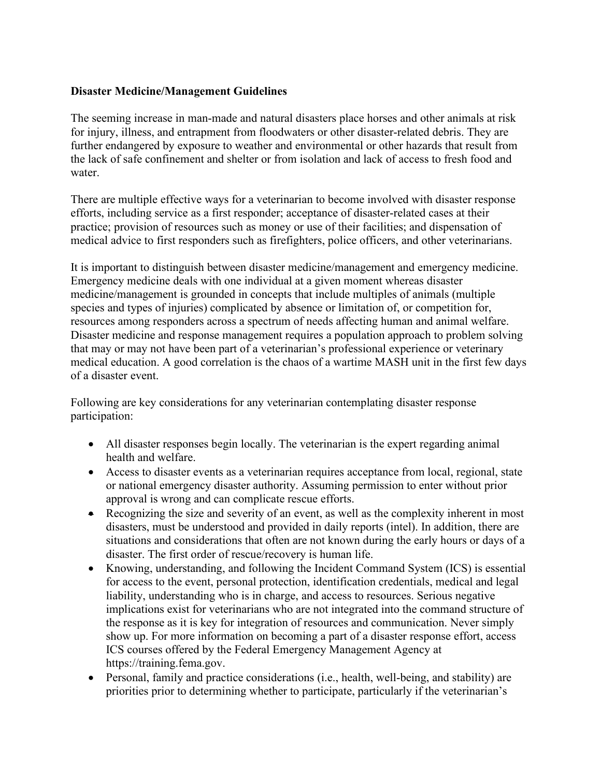## **Disaster Medicine/Management Guidelines**

The seeming increase in man-made and natural disasters place horses and other animals at risk for injury, illness, and entrapment from floodwaters or other disaster-related debris. They are further endangered by exposure to weather and environmental or other hazards that result from the lack of safe confinement and shelter or from isolation and lack of access to fresh food and water.

There are multiple effective ways for a veterinarian to become involved with disaster response efforts, including service as a first responder; acceptance of disaster-related cases at their practice; provision of resources such as money or use of their facilities; and dispensation of medical advice to first responders such as firefighters, police officers, and other veterinarians.

It is important to distinguish between disaster medicine/management and emergency medicine. Emergency medicine deals with one individual at a given moment whereas disaster medicine/management is grounded in concepts that include multiples of animals (multiple species and types of injuries) complicated by absence or limitation of, or competition for, resources among responders across a spectrum of needs affecting human and animal welfare. Disaster medicine and response management requires a population approach to problem solving that may or may not have been part of a veterinarian's professional experience or veterinary medical education. A good correlation is the chaos of a wartime MASH unit in the first few days of a disaster event.

Following are key considerations for any veterinarian contemplating disaster response participation:

- All disaster responses begin locally. The veterinarian is the expert regarding animal health and welfare.
- Access to disaster events as a veterinarian requires acceptance from local, regional, state or national emergency disaster authority. Assuming permission to enter without prior approval is wrong and can complicate rescue efforts.
- Recognizing the size and severity of an event, as well as the complexity inherent in most disasters, must be understood and provided in daily reports (intel). In addition, there are situations and considerations that often are not known during the early hours or days of a disaster. The first order of rescue/recovery is human life.
- Knowing, understanding, and following the Incident Command System (ICS) is essential for access to the event, personal protection, identification credentials, medical and legal liability, understanding who is in charge, and access to resources. Serious negative implications exist for veterinarians who are not integrated into the command structure of the response as it is key for integration of resources and communication. Never simply show up. For more information on becoming a part of a disaster response effort, access ICS courses offered by the Federal Emergency Management Agency at https://training.fema.gov.
- Personal, family and practice considerations (i.e., health, well-being, and stability) are priorities prior to determining whether to participate, particularly if the veterinarian's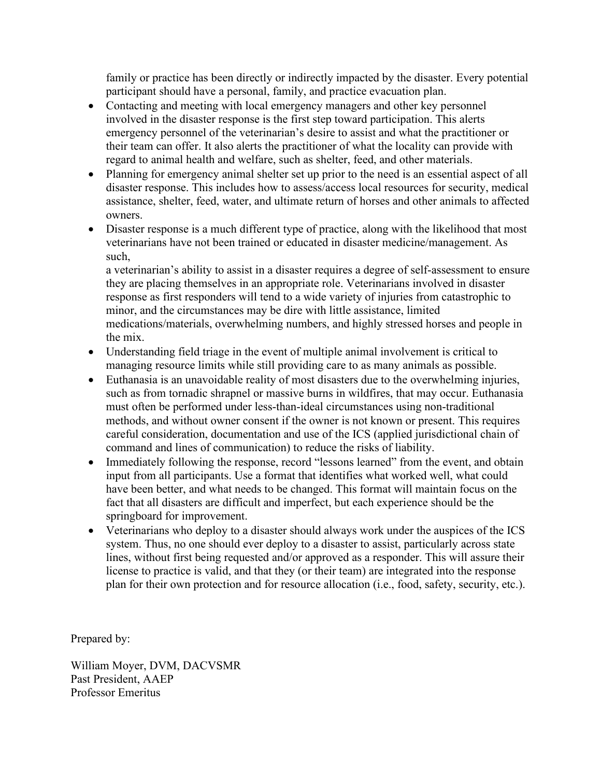family or practice has been directly or indirectly impacted by the disaster. Every potential participant should have a personal, family, and practice evacuation plan.

- Contacting and meeting with local emergency managers and other key personnel involved in the disaster response is the first step toward participation. This alerts emergency personnel of the veterinarian's desire to assist and what the practitioner or their team can offer. It also alerts the practitioner of what the locality can provide with regard to animal health and welfare, such as shelter, feed, and other materials.
- Planning for emergency animal shelter set up prior to the need is an essential aspect of all disaster response. This includes how to assess/access local resources for security, medical assistance, shelter, feed, water, and ultimate return of horses and other animals to affected owners.
- Disaster response is a much different type of practice, along with the likelihood that most veterinarians have not been trained or educated in disaster medicine/management. As such,

a veterinarian's ability to assist in a disaster requires a degree of self-assessment to ensure they are placing themselves in an appropriate role. Veterinarians involved in disaster response as first responders will tend to a wide variety of injuries from catastrophic to minor, and the circumstances may be dire with little assistance, limited medications/materials, overwhelming numbers, and highly stressed horses and people in the mix.

- Understanding field triage in the event of multiple animal involvement is critical to managing resource limits while still providing care to as many animals as possible.
- Euthanasia is an unavoidable reality of most disasters due to the overwhelming injuries, such as from tornadic shrapnel or massive burns in wildfires, that may occur. Euthanasia must often be performed under less-than-ideal circumstances using non-traditional methods, and without owner consent if the owner is not known or present. This requires careful consideration, documentation and use of the ICS (applied jurisdictional chain of command and lines of communication) to reduce the risks of liability.
- Immediately following the response, record "lessons learned" from the event, and obtain input from all participants. Use a format that identifies what worked well, what could have been better, and what needs to be changed. This format will maintain focus on the fact that all disasters are difficult and imperfect, but each experience should be the springboard for improvement.
- Veterinarians who deploy to a disaster should always work under the auspices of the ICS system. Thus, no one should ever deploy to a disaster to assist, particularly across state lines, without first being requested and/or approved as a responder. This will assure their license to practice is valid, and that they (or their team) are integrated into the response plan for their own protection and for resource allocation (i.e., food, safety, security, etc.).

Prepared by:

William Moyer, DVM, DACVSMR Past President, AAEP Professor Emeritus